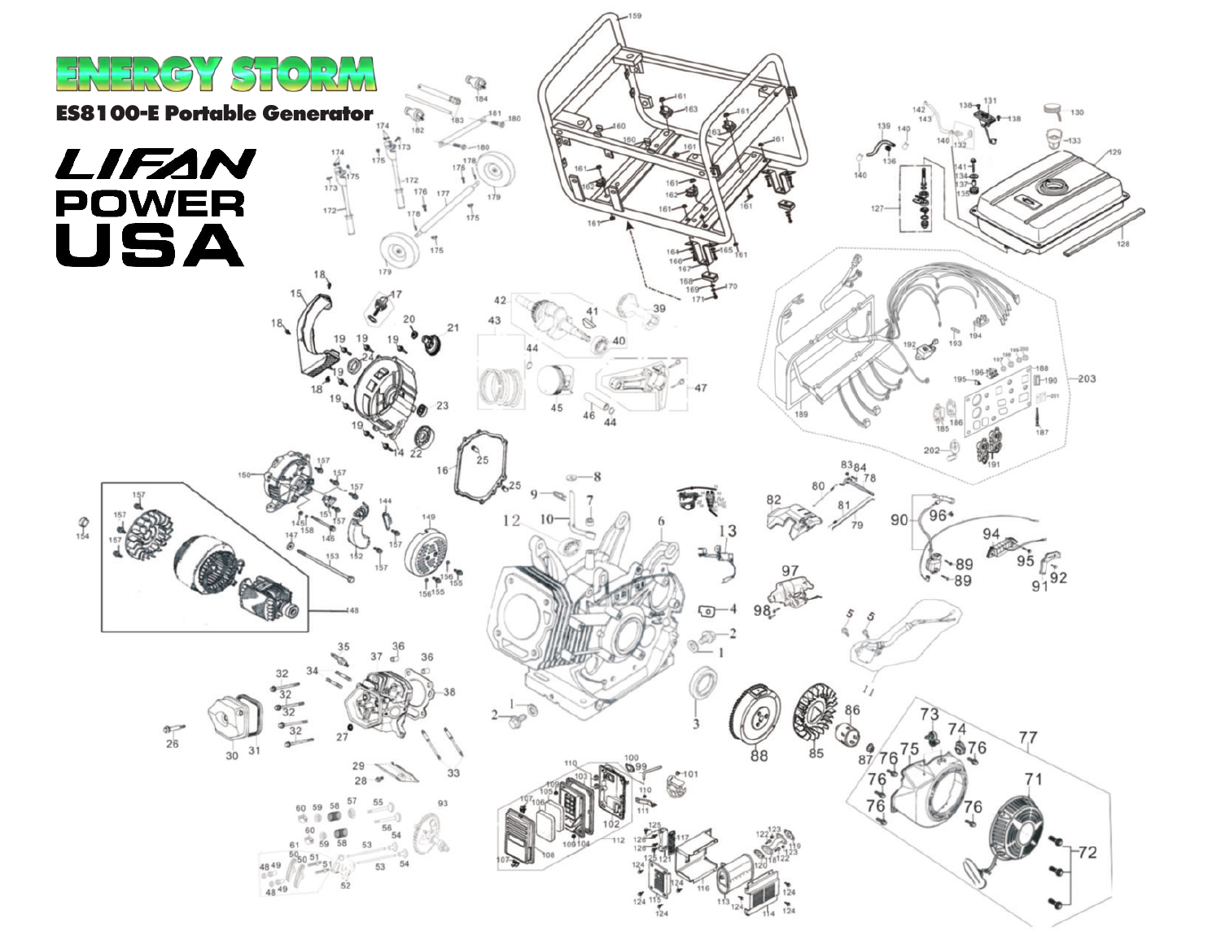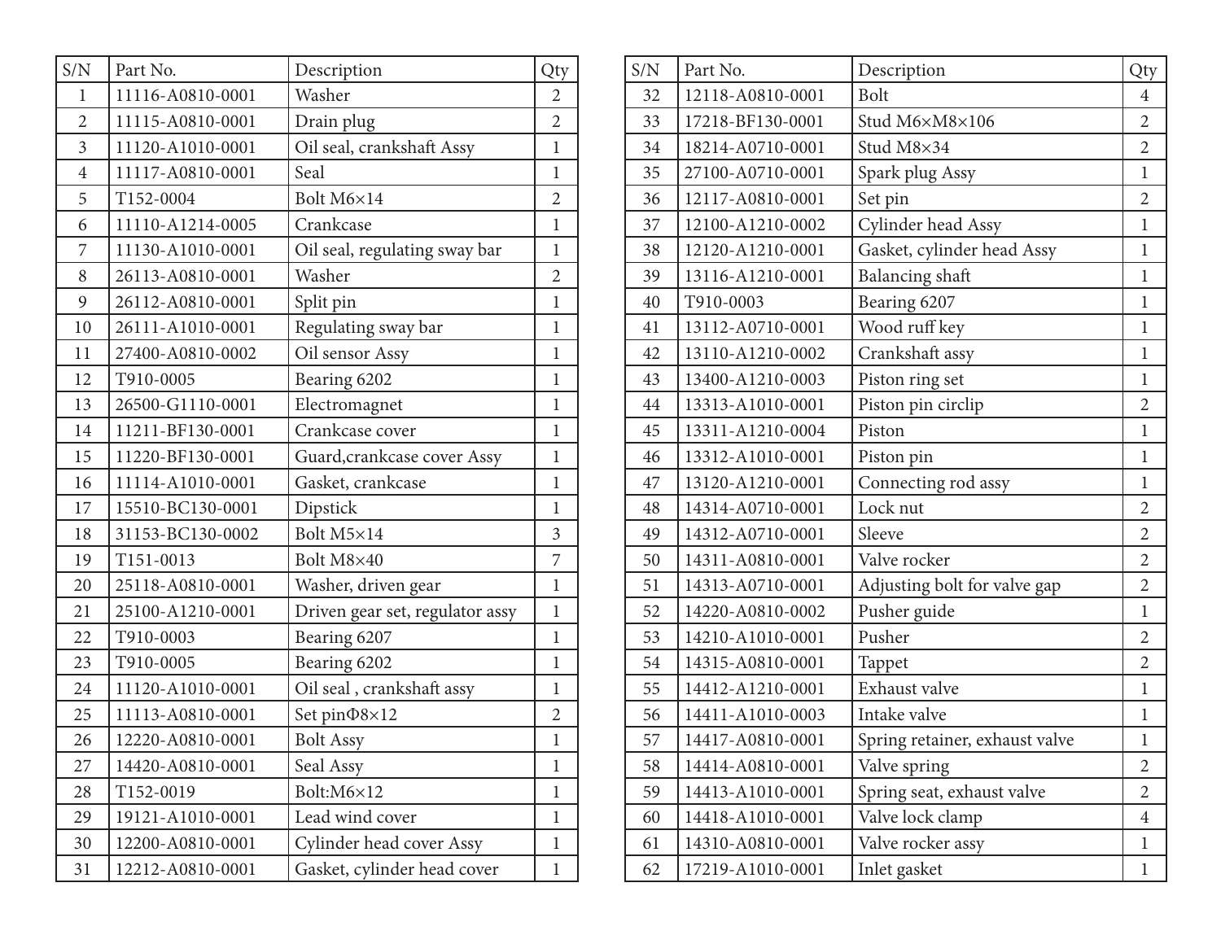| S/N            | Part No.         | Description                     | Qty            |
|----------------|------------------|---------------------------------|----------------|
| 1              | 11116-A0810-0001 | Washer                          | $\overline{2}$ |
| $\overline{2}$ | 11115-A0810-0001 | Drain plug                      | $\overline{2}$ |
| 3              | 11120-A1010-0001 | Oil seal, crankshaft Assy       | $\mathbf{1}$   |
| $\overline{4}$ | 11117-A0810-0001 | Seal                            | $\mathbf{1}$   |
| 5              | T152-0004        | Bolt M6×14                      | $\overline{2}$ |
| 6              | 11110-A1214-0005 | Crankcase                       | $\mathbf{1}$   |
| 7              | 11130-A1010-0001 | Oil seal, regulating sway bar   | $\mathbf{1}$   |
| 8              | 26113-A0810-0001 | Washer                          | $\overline{2}$ |
| 9              | 26112-A0810-0001 | Split pin                       | $\mathbf{1}$   |
| 10             | 26111-A1010-0001 | Regulating sway bar             | $\mathbf{1}$   |
| 11             | 27400-A0810-0002 | Oil sensor Assy                 | $\mathbf{1}$   |
| 12             | T910-0005        | Bearing 6202                    | $\mathbf{1}$   |
| 13             | 26500-G1110-0001 | Electromagnet                   | $\mathbf{1}$   |
| 14             | 11211-BF130-0001 | Crankcase cover                 | $\mathbf{1}$   |
| 15             | 11220-BF130-0001 | Guard, crankcase cover Assy     | $\mathbf{1}$   |
| 16             | 11114-A1010-0001 | Gasket, crankcase               | $\mathbf{1}$   |
| 17             | 15510-BC130-0001 | Dipstick                        | $\mathbf{1}$   |
| 18             | 31153-BC130-0002 | Bolt M5×14                      | $\overline{3}$ |
| 19             | T151-0013        | Bolt M8×40                      | 7              |
| 20             | 25118-A0810-0001 | Washer, driven gear             | $\mathbf{1}$   |
| 21             | 25100-A1210-0001 | Driven gear set, regulator assy | $\mathbf{1}$   |
| 22             | T910-0003        | Bearing 6207                    | $\mathbf{1}$   |
| 23             | T910-0005        | Bearing 6202                    | $\mathbf{1}$   |
| 24             | 11120-A1010-0001 | Oil seal, crankshaft assy       | $\mathbf{1}$   |
| 25             | 11113-A0810-0001 | Set pin $\Phi$ 8×12             | $\overline{2}$ |
| 26             | 12220-A0810-0001 | <b>Bolt Assy</b>                | $\mathbf{1}$   |
| 27             | 14420-A0810-0001 | Seal Assy                       | $\mathbf{1}$   |
| 28             | T152-0019        | Bolt:M6×12                      | $\mathbf{1}$   |
| 29             | 19121-A1010-0001 | Lead wind cover                 | $\mathbf 1$    |
| 30             | 12200-A0810-0001 | Cylinder head cover Assy        | $\mathbf 1$    |
| 31             | 12212-A0810-0001 | Gasket, cylinder head cover     | $\mathbf{1}$   |

| S/N | Part No.         | Description                    | Qty            |
|-----|------------------|--------------------------------|----------------|
| 32  | 12118-A0810-0001 | <b>Bolt</b>                    | $\overline{4}$ |
| 33  | 17218-BF130-0001 | Stud M6×M8×106                 | $\overline{2}$ |
| 34  | 18214-A0710-0001 | Stud M8×34                     | $\overline{2}$ |
| 35  | 27100-A0710-0001 | Spark plug Assy                | $\mathbf{1}$   |
| 36  | 12117-A0810-0001 | Set pin                        | $\overline{2}$ |
| 37  | 12100-A1210-0002 | Cylinder head Assy             | $\mathbf{1}$   |
| 38  | 12120-A1210-0001 | Gasket, cylinder head Assy     | $\mathbf{1}$   |
| 39  | 13116-A1210-0001 | Balancing shaft                | $\mathbf{1}$   |
| 40  | T910-0003        | Bearing 6207                   | $\mathbf 1$    |
| 41  | 13112-A0710-0001 | Wood ruff key                  | $\mathbf{1}$   |
| 42  | 13110-A1210-0002 | Crankshaft assy                | $\mathbf{1}$   |
| 43  | 13400-A1210-0003 | Piston ring set                | $\mathbf{1}$   |
| 44  | 13313-A1010-0001 | Piston pin circlip             | $\overline{2}$ |
| 45  | 13311-A1210-0004 | Piston                         | $\mathbf{1}$   |
| 46  | 13312-A1010-0001 | Piston pin                     | $\mathbf{1}$   |
| 47  | 13120-A1210-0001 | Connecting rod assy            | $\mathbf{1}$   |
| 48  | 14314-A0710-0001 | Lock nut                       | $\overline{2}$ |
| 49  | 14312-A0710-0001 | Sleeve                         | $\overline{2}$ |
| 50  | 14311-A0810-0001 | Valve rocker                   | $\overline{2}$ |
| 51  | 14313-A0710-0001 | Adjusting bolt for valve gap   | $\overline{2}$ |
| 52  | 14220-A0810-0002 | Pusher guide                   | $\mathbf{1}$   |
| 53  | 14210-A1010-0001 | Pusher                         | $\overline{2}$ |
| 54  | 14315-A0810-0001 | Tappet                         | $\overline{2}$ |
| 55  | 14412-A1210-0001 | Exhaust valve                  | $\mathbf{1}$   |
| 56  | 14411-A1010-0003 | Intake valve                   | $\mathbf{1}$   |
| 57  | 14417-A0810-0001 | Spring retainer, exhaust valve | $\mathbf{1}$   |
| 58  | 14414-A0810-0001 | Valve spring                   | 2              |
| 59  | 14413-A1010-0001 | Spring seat, exhaust valve     | $\overline{2}$ |
| 60  | 14418-A1010-0001 | Valve lock clamp               | 4              |
| 61  | 14310-A0810-0001 | Valve rocker assy              | $\mathbf 1$    |
| 62  | 17219-A1010-0001 | Inlet gasket                   | $\mathbf 1$    |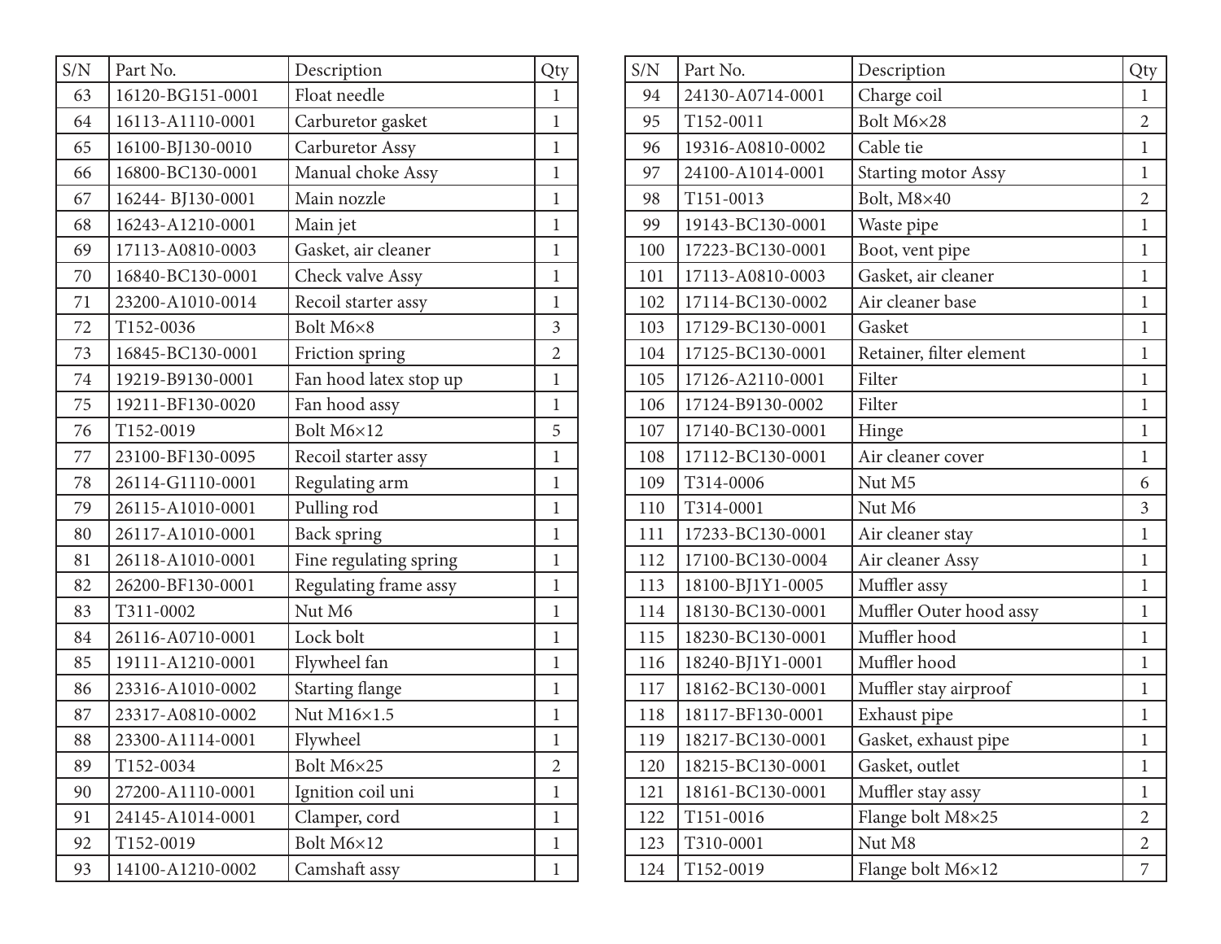| S/N | Part No.         | Description            | Qty            |
|-----|------------------|------------------------|----------------|
| 63  | 16120-BG151-0001 | Float needle           | $\mathbf{1}$   |
| 64  | 16113-A1110-0001 | Carburetor gasket      | $\mathbf{1}$   |
| 65  | 16100-BJ130-0010 | Carburetor Assy        | $\mathbf{1}$   |
| 66  | 16800-BC130-0001 | Manual choke Assy      | $\mathbf{1}$   |
| 67  | 16244-BJ130-0001 | Main nozzle            | $\mathbf{1}$   |
| 68  | 16243-A1210-0001 | Main jet               | $\mathbf{1}$   |
| 69  | 17113-A0810-0003 | Gasket, air cleaner    | $\mathbf{1}$   |
| 70  | 16840-BC130-0001 | Check valve Assy       | $\mathbf{1}$   |
| 71  | 23200-A1010-0014 | Recoil starter assy    | $\mathbf{1}$   |
| 72  | T152-0036        | Bolt M6×8              | $\overline{3}$ |
| 73  | 16845-BC130-0001 | Friction spring        | $\overline{2}$ |
| 74  | 19219-B9130-0001 | Fan hood latex stop up | $\mathbf{1}$   |
| 75  | 19211-BF130-0020 | Fan hood assy          | $\mathbf{1}$   |
| 76  | T152-0019        | Bolt M6×12             | 5              |
| 77  | 23100-BF130-0095 | Recoil starter assy    | $\mathbf{1}$   |
| 78  | 26114-G1110-0001 | Regulating arm         | $\mathbf{1}$   |
| 79  | 26115-A1010-0001 | Pulling rod            | $\mathbf{1}$   |
| 80  | 26117-A1010-0001 | <b>Back spring</b>     | $\mathbf{1}$   |
| 81  | 26118-A1010-0001 | Fine regulating spring | $\mathbf{1}$   |
| 82  | 26200-BF130-0001 | Regulating frame assy  | $\mathbf{1}$   |
| 83  | T311-0002        | Nut M6                 | 1              |
| 84  | 26116-A0710-0001 | Lock bolt              | $\mathbf{1}$   |
| 85  | 19111-A1210-0001 | Flywheel fan           | $\mathbf{1}$   |
| 86  | 23316-A1010-0002 | <b>Starting flange</b> | $\mathbf{1}$   |
| 87  | 23317-A0810-0002 | Nut M16×1.5            | 1              |
| 88  | 23300-A1114-0001 | Flywheel               | $\mathbf{1}$   |
| 89  | T152-0034        | Bolt M6×25             | $\overline{2}$ |
| 90  | 27200-A1110-0001 | Ignition coil uni      | $\mathbf 1$    |
| 91  | 24145-A1014-0001 | Clamper, cord          | 1              |
| 92  | T152-0019        | Bolt M6×12             | $\mathbf{1}$   |
| 93  | 14100-A1210-0002 | Camshaft assy          | $\mathbf{1}$   |

| S/N | Part No.         | Description              | Qty            |
|-----|------------------|--------------------------|----------------|
| 94  | 24130-A0714-0001 | Charge coil              | $\mathbf{1}$   |
| 95  | T152-0011        | Bolt M6×28               | $\overline{2}$ |
| 96  | 19316-A0810-0002 | Cable tie                | $\mathbf{1}$   |
| 97  | 24100-A1014-0001 | Starting motor Assy      | $\mathbf{1}$   |
| 98  | T151-0013        | Bolt, M8×40              | $\overline{2}$ |
| 99  | 19143-BC130-0001 | Waste pipe               | $\mathbf{1}$   |
| 100 | 17223-BC130-0001 | Boot, vent pipe          | $\mathbf{1}$   |
| 101 | 17113-A0810-0003 | Gasket, air cleaner      | $\mathbf{1}$   |
| 102 | 17114-BC130-0002 | Air cleaner base         | $\mathbf{1}$   |
| 103 | 17129-BC130-0001 | Gasket                   | $\mathbf{1}$   |
| 104 | 17125-BC130-0001 | Retainer, filter element | $\mathbf{1}$   |
| 105 | 17126-A2110-0001 | Filter                   | $\mathbf{1}$   |
| 106 | 17124-B9130-0002 | Filter                   | $\mathbf{1}$   |
| 107 | 17140-BC130-0001 | Hinge                    | $\mathbf{1}$   |
| 108 | 17112-BC130-0001 | Air cleaner cover        | $\mathbf{1}$   |
| 109 | T314-0006        | Nut M5                   | 6              |
| 110 | T314-0001        | Nut M6                   | $\overline{3}$ |
| 111 | 17233-BC130-0001 | Air cleaner stay         | $\mathbf{1}$   |
| 112 | 17100-BC130-0004 | Air cleaner Assy         | $\mathbf{1}$   |
| 113 | 18100-BJ1Y1-0005 | Muffler assy             | $\mathbf{1}$   |
| 114 | 18130-BC130-0001 | Muffler Outer hood assy  | $\mathbf{1}$   |
| 115 | 18230-BC130-0001 | Muffler hood             | $\mathbf{1}$   |
| 116 | 18240-BJ1Y1-0001 | Muffler hood             | $\mathbf{1}$   |
| 117 | 18162-BC130-0001 | Muffler stay airproof    | $\mathbf{1}$   |
| 118 | 18117-BF130-0001 | Exhaust pipe             | $\mathbf{1}$   |
| 119 | 18217-BC130-0001 | Gasket, exhaust pipe     | $\mathbf{1}$   |
| 120 | 18215-BC130-0001 | Gasket, outlet           | 1              |
| 121 | 18161-BC130-0001 | Muffler stay assy        | $\mathbf 1$    |
| 122 | T151-0016        | Flange bolt M8×25        | $\overline{2}$ |
| 123 | T310-0001        | Nut M8                   | $\overline{2}$ |
| 124 | T152-0019        | Flange bolt M6×12        | 7              |